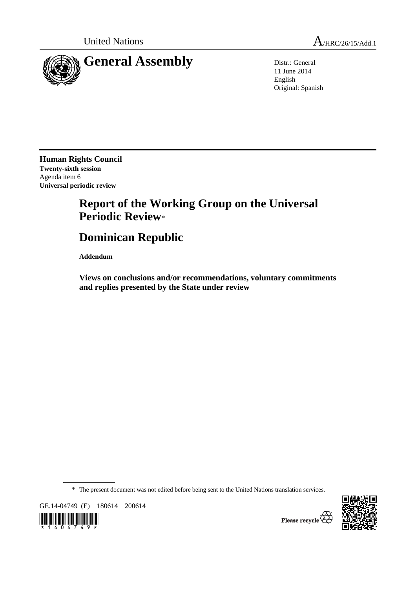

11 June 2014 English Original: Spanish

**Human Rights Council Twenty-sixth session**  Agenda item 6 **Universal periodic review** 

## **Report of the Working Group on the Universal Periodic Review**\*

# **Dominican Republic**

 **Addendum** 

 **Views on conclusions and/or recommendations, voluntary commitments and replies presented by the State under review** 

\* The present document was not edited before being sent to the United Nations translation services.

GE.14-04749 (E) 180614 200614



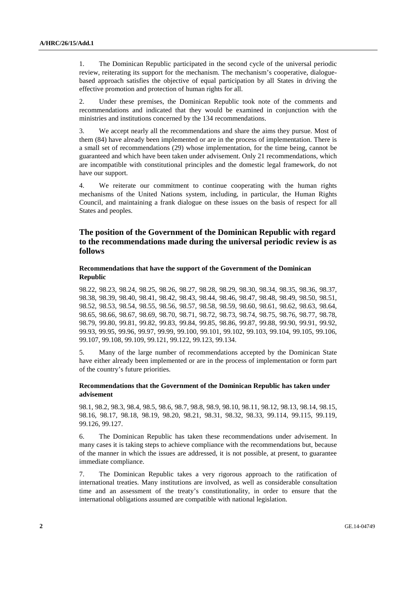1. The Dominican Republic participated in the second cycle of the universal periodic review, reiterating its support for the mechanism. The mechanism's cooperative, dialoguebased approach satisfies the objective of equal participation by all States in driving the effective promotion and protection of human rights for all.

2. Under these premises, the Dominican Republic took note of the comments and recommendations and indicated that they would be examined in conjunction with the ministries and institutions concerned by the 134 recommendations.

3. We accept nearly all the recommendations and share the aims they pursue. Most of them (84) have already been implemented or are in the process of implementation. There is a small set of recommendations (29) whose implementation, for the time being, cannot be guaranteed and which have been taken under advisement. Only 21 recommendations, which are incompatible with constitutional principles and the domestic legal framework, do not have our support.

4. We reiterate our commitment to continue cooperating with the human rights mechanisms of the United Nations system, including, in particular, the Human Rights Council, and maintaining a frank dialogue on these issues on the basis of respect for all States and peoples.

### **The position of the Government of the Dominican Republic with regard to the recommendations made during the universal periodic review is as follows**

#### **Recommendations that have the support of the Government of the Dominican Republic**

98.22, 98.23, 98.24, 98.25, 98.26, 98.27, 98.28, 98.29, 98.30, 98.34, 98.35, 98.36, 98.37, 98.38, 98.39, 98.40, 98.41, 98.42, 98.43, 98.44, 98.46, 98.47, 98.48, 98.49, 98.50, 98.51, 98.52, 98.53, 98.54, 98.55, 98.56, 98.57, 98.58, 98.59, 98.60, 98.61, 98.62, 98.63, 98.64, 98.65, 98.66, 98.67, 98.69, 98.70, 98.71, 98.72, 98.73, 98.74, 98.75, 98.76, 98.77, 98.78, 98.79, 99.80, 99.81, 99.82, 99.83, 99.84, 99.85, 98.86, 99.87, 99.88, 99.90, 99.91, 99.92, 99.93, 99.95, 99.96, 99.97, 99.99, 99.100, 99.101, 99.102, 99.103, 99.104, 99.105, 99.106, 99.107, 99.108, 99.109, 99.121, 99.122, 99.123, 99.134.

5. Many of the large number of recommendations accepted by the Dominican State have either already been implemented or are in the process of implementation or form part of the country's future priorities.

#### **Recommendations that the Government of the Dominican Republic has taken under advisement**

98.1, 98.2, 98.3, 98.4, 98.5, 98.6, 98.7, 98.8, 98.9, 98.10, 98.11, 98.12, 98.13, 98.14, 98.15, 98.16, 98.17, 98.18, 98.19, 98.20, 98.21, 98.31, 98.32, 98.33, 99.114, 99.115, 99.119, 99.126, 99.127.

6. The Dominican Republic has taken these recommendations under advisement. In many cases it is taking steps to achieve compliance with the recommendations but, because of the manner in which the issues are addressed, it is not possible, at present, to guarantee immediate compliance.

7. The Dominican Republic takes a very rigorous approach to the ratification of international treaties. Many institutions are involved, as well as considerable consultation time and an assessment of the treaty's constitutionality, in order to ensure that the international obligations assumed are compatible with national legislation.